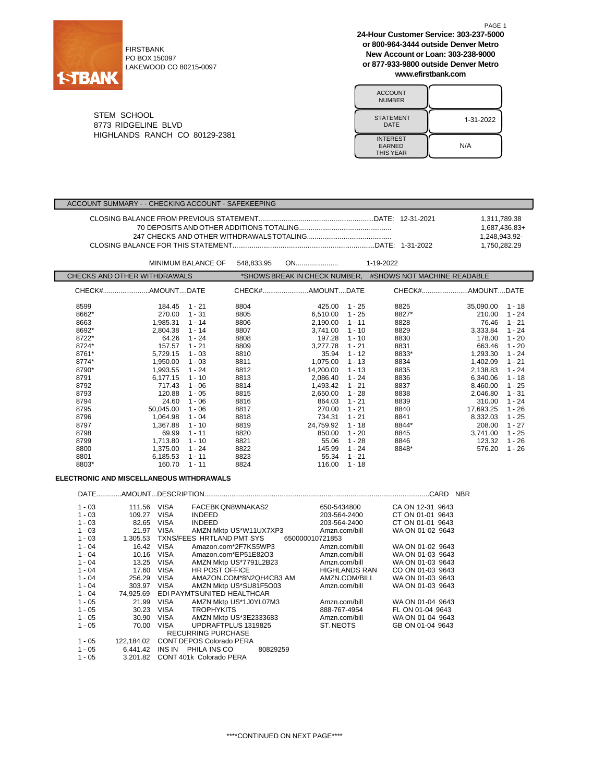

FIRSTBANK PO BOX 150097 LAKEWOOD CO 80215-0097 **24-Hour Customer Service: 303-237-5000 or 800-964-3444 outside Denver Metro New Account or Loan: 303-238-9000 or 877-933-9800 outside Denver Metro www.efirstbank.com**

| <b>ACCOUNT</b><br><b>NUMBER</b>                      |           |
|------------------------------------------------------|-----------|
| <b>STATEMENT</b><br>DATE                             | 1-31-2022 |
| <b>INTEREST</b><br><b>EARNED</b><br><b>THIS YEAR</b> | N/A       |

STEM SCHOOL 8773 RIDGELINE BLVD HIGHLANDS RANCH CO 80129-2381

#### ACCOUNT SUMMARY - - CHECKING ACCOUNT - SAFEKEEPING

| 1.311.789.38  |
|---------------|
| 1.687.436.83+ |
| 1.248.943.92- |
| 1.750.282.29  |

|                              |           | <b>MINIMUM BALANCE OF</b> | 548,833.95 | ON                            |          | 1-19-2022                   |           |          |
|------------------------------|-----------|---------------------------|------------|-------------------------------|----------|-----------------------------|-----------|----------|
| CHECKS AND OTHER WITHDRAWALS |           |                           |            | *SHOWS BREAK IN CHECK NUMBER, |          | #SHOWS NOT MACHINE READABLE |           |          |
|                              |           |                           |            | CHECK#AMOUNTDATE              |          |                             |           |          |
| 8599                         | 184.45    | 1 - 21                    | 8804       | 425.00                        | $1 - 25$ | 8825                        | 35,090.00 | 1 - 18   |
| 8662*                        | 270.00    | 1 - 31                    | 8805       | 6.510.00                      | $1 - 25$ | 8827*                       | 210.00    | 1 - 24   |
| 8663                         | 1,985.31  | 1 - 14                    | 8806       | 2,190.00                      | $1 - 11$ | 8828                        | 76.46     | $1 - 21$ |
| 8692*                        | 2.804.38  | $1 - 14$                  | 8807       | 3,741.00                      | $1 - 10$ | 8829                        | 3,333.84  | $1 - 24$ |
| 8722*                        | 64.26     | $1 - 24$                  | 8808       | 197.28                        | $1 - 10$ | 8830                        | 178.00    | $1 - 20$ |
| 8724*                        | 157.57    | $1 - 21$                  | 8809       | 3,277.78                      | $1 - 21$ | 8831                        | 663.46    | $1 - 20$ |
| 8761*                        | 5,729.15  | $1 - 03$                  | 8810       | 35.94                         | $1 - 12$ | 8833*                       | 1,293.30  | 1 - 24   |
| 8774*                        | 1,950.00  | $1 - 03$                  | 8811       | 1,075.00                      | $1 - 13$ | 8834                        | 1,402.09  | $1 - 21$ |
| 8790*                        | 1,993.55  | $1 - 24$                  | 8812       | 14,200.00                     | $1 - 13$ | 8835                        | 2,138.83  | 1 - 24   |
| 8791                         | 6.177.15  | $1 - 10$                  | 8813       | 2,086.40                      | $1 - 24$ | 8836                        | 6,340.06  | $1 - 18$ |
| 8792                         | 717.43    | $1 - 06$                  | 8814       | 1,493.42                      | $1 - 21$ | 8837                        | 8,460.00  | $1 - 25$ |
| 8793                         | 120.88    | $1 - 05$                  | 8815       | 2,650.00                      | $1 - 28$ | 8838                        | 2,046.80  | 1 - 31   |
| 8794                         | 24.60     | $1 - 06$                  | 8816       | 864.03                        | $1 - 21$ | 8839                        | 310.00    | 1 - 24   |
| 8795                         | 50.045.00 | $1 - 06$                  | 8817       | 270.00                        | $1 - 21$ | 8840                        | 17.693.25 | $1 - 26$ |
| 8796                         | 1,064.98  | $1 - 04$                  | 8818       | 734.31                        | $1 - 21$ | 8841                        | 8,332.03  | 1 - 25   |
| 8797                         | 1,367.88  | $1 - 10$                  | 8819       | 24,759.92                     | $1 - 18$ | 8844*                       | 208.00    | $1 - 27$ |
| 8798                         | 69.99     | $1 - 11$                  | 8820       | 850.00                        | $1 - 20$ | 8845                        | 3,741.00  | $1 - 25$ |
| 8799                         | 1,713.80  | $1 - 10$                  | 8821       | 55.06                         | $1 - 28$ | 8846                        | 123.32    | 1 - 26   |
| 8800                         | 1,375.00  | 1 - 24                    | 8822       | 145.99                        | $1 - 24$ | 8848*                       | 576.20    | $1 - 26$ |
| 8801                         | 6,185.53  | $1 - 11$                  | 8823       | 55.34                         | $1 - 21$ |                             |           |          |
| 8803*                        | 160.70    | $1 - 11$                  | 8824       | 116.00                        | $1 - 18$ |                             |           |          |

## **ELECTRONIC AND MISCELLANEOUS WITHDRAWALS**

| DATE     |            |             |                                 |                      | .CARD<br><b>NBR</b> |
|----------|------------|-------------|---------------------------------|----------------------|---------------------|
| $1 - 03$ | 111.56     | <b>VISA</b> | FACEBK QN8WNAKAS2               | 650-5434800          | CA ON 12-31 9643    |
| $1 - 03$ | 109.27     | <b>VISA</b> | <b>INDEED</b>                   | 203-564-2400         | CT ON 01-01 9643    |
| $1 - 03$ | 82.65      | VISA        | <b>INDEED</b>                   | 203-564-2400         | CT ON 01-01 9643    |
| $1 - 03$ | 21.97      | <b>VISA</b> | AMZN Mktp US*W11UX7XP3          | Amzn.com/bill        | WA ON 01-02 9643    |
| $1 - 03$ | 1.305.53   |             | TXNS/FEES HRTLAND PMT SYS       | 650000010721853      |                     |
| $1 - 04$ | 16.42      | <b>VISA</b> | Amazon.com*2F7KS5WP3            | Amzn.com/bill        | WA ON 01-02 9643    |
| $1 - 04$ | 10.16      | VISA        | Amazon.com*EP51E82O3            | Amzn.com/bill        | WA ON 01-03 9643    |
| $1 - 04$ | 13.25      | VISA        | AMZN Mktp US*7791L2B23          | Amzn.com/bill        | WA ON 01-03 9643    |
| $1 - 04$ | 17.60      | <b>VISA</b> | HR POST OFFICE                  | <b>HIGHLANDS RAN</b> | CO ON 01-03 9643    |
| $1 - 04$ | 256.29     | <b>VISA</b> | AMAZON.COM*8N2QH4CB3 AM         | AMZN.COM/BILL        | WA ON 01-03 9643    |
| $1 - 04$ | 303.97     | <b>VISA</b> | AMZN Mktp US*SU81F5O03          | Amzn.com/bill        | WA ON 01-03 9643    |
| $1 - 04$ | 74.925.69  |             | EDI PAYMTSUNITED HEALTHCAR      |                      |                     |
| $1 - 05$ | 21.99      | VISA        | AMZN Mktp US*1J0YL07M3          | Amzn.com/bill        | WA ON 01-04 9643    |
| $1 - 05$ | 30.23      | VISA        | <b>TROPHYKITS</b>               | 888-767-4954         | FL ON 01-04 9643    |
| $1 - 05$ | 30.90      | VISA        | AMZN Mktp US*3E2333683          | Amzn.com/bill        | WA ON 01-04 9643    |
| $1 - 05$ | 70.00      | <b>VISA</b> | UPDRAFTPLUS 1319825             | ST. NEOTS            | GB ON 01-04 9643    |
|          |            |             | <b>RECURRING PURCHASE</b>       |                      |                     |
| $1 - 05$ | 122.184.02 |             | <b>CONT DEPOS Colorado PERA</b> |                      |                     |
| $1 - 05$ | 6.441.42   |             | INS IN PHILA INS CO<br>80829259 |                      |                     |
| $1 - 05$ | 3.201.82   |             | CONT 401k Colorado PERA         |                      |                     |

PAGE 1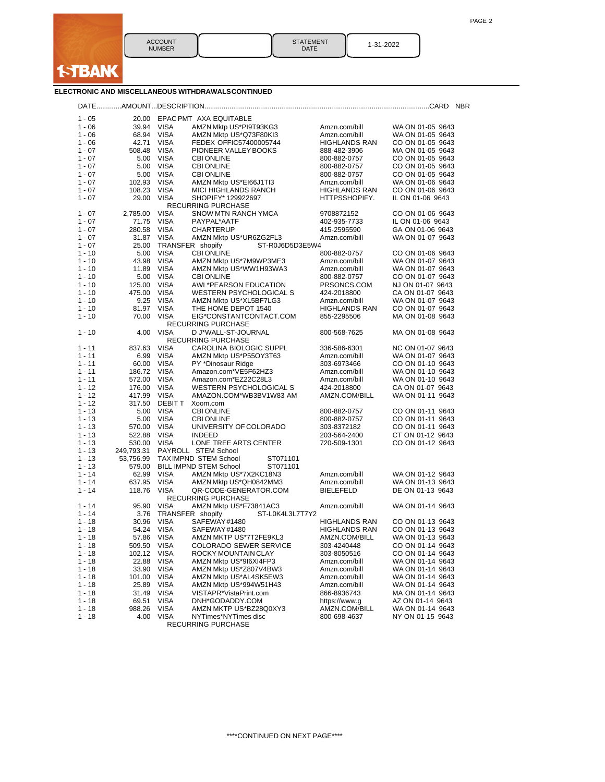

| <b>STATEMENT</b><br>DATE | 1-31-2022 |
|--------------------------|-----------|
|--------------------------|-----------|

### **ELECTRONIC AND MISCELLANEOUS WITHDRAWALSCONTINUED**

| $1 - 05$             | 20.00            |                            | EPAC PMT AXA EQUITABLE                    |                              |                                      |
|----------------------|------------------|----------------------------|-------------------------------------------|------------------------------|--------------------------------------|
| $1 - 06$             | 39.94            | <b>VISA</b>                | AMZN Mktp US*PI9T93KG3                    | Amzn.com/bill                | WA ON 01-05 9643                     |
| $1 - 06$             | 68.94            | <b>VISA</b>                | AMZN Mktp US*Q73F80KI3                    | Amzn.com/bill                | WA ON 01-05 9643                     |
| $1 - 06$             | 42.71            | <b>VISA</b>                | FEDEX OFFIC57400005744                    | <b>HIGHLANDS RAN</b>         | CO ON 01-05 9643                     |
| $1 - 07$             | 508.48           | VISA                       | PIONEER VALLEY BOOKS                      | 888-482-3906                 | MA ON 01-05 9643                     |
| $1 - 07$             | 5.00             | VISA                       | <b>CBI ONLINE</b>                         | 800-882-0757                 | CO ON 01-05 9643                     |
| $1 - 07$             | 5.00             | VISA                       | <b>CBI ONLINE</b>                         | 800-882-0757                 | CO ON 01-05 9643                     |
| $1 - 07$             | 5.00             | <b>VISA</b>                | <b>CBI ONLINE</b>                         | 800-882-0757                 | CO ON 01-05 9643                     |
| $1 - 07$             | 102.93           | <b>VISA</b>                | AMZN Mktp US*EI66J1TI3                    | Amzn.com/bill                | WA ON 01-06 9643                     |
| $1 - 07$             | 108.23           | <b>VISA</b>                | MICI HIGHLANDS RANCH                      | <b>HIGHLANDS RAN</b>         | CO ON 01-06 9643                     |
| $1 - 07$             | 29.00            | <b>VISA</b>                | SHOPIFY* 129922697                        | HTTPSSHOPIFY.                | IL ON 01-06 9643                     |
|                      |                  |                            | <b>RECURRING PURCHASE</b>                 |                              |                                      |
| $1 - 07$             | 2,785.00         | <b>VISA</b>                | SNOW MTN RANCH YMCA                       | 9708872152                   | CO ON 01-06 9643                     |
| $1 - 07$             | 71.75            | <b>VISA</b>                | PAYPAL*AATF                               | 402-935-7733                 | IL ON 01-06 9643                     |
| $1 - 07$             | 280.58           | <b>VISA</b>                | <b>CHARTERUP</b>                          | 415-2595590                  | GA ON 01-06 9643                     |
| $1 - 07$             | 31.87            | <b>VISA</b>                | AMZN Mktp US*UR6ZG2FL3                    | Amzn.com/bill                | WA ON 01-07 9643                     |
| $1 - 07$             | 25.00            |                            | TRANSFER shopify<br>ST-R0J6D5D3E5W4       |                              |                                      |
| $1 - 10$             | 5.00             | <b>VISA</b>                | <b>CBI ONLINE</b>                         | 800-882-0757                 | CO ON 01-06 9643                     |
| $1 - 10$             | 43.98            | <b>VISA</b>                | AMZN Mktp US*7M9WP3ME3                    | Amzn.com/bill                | WA ON 01-07 9643                     |
| $1 - 10$             | 11.89            | <b>VISA</b>                | AMZN Mktp US*WW1H93WA3                    | Amzn.com/bill                | WA ON 01-07 9643                     |
| $1 - 10$             | 5.00             | <b>VISA</b>                | <b>CBI ONLINE</b>                         | 800-882-0757                 | CO ON 01-07 9643                     |
| $1 - 10$             | 125.00           | <b>VISA</b>                | AWL*PEARSON EDUCATION                     | PRSONCS.COM                  | NJ ON 01-07 9643                     |
| $1 - 10$             | 475.00           | <b>VISA</b>                | WESTERN PSYCHOLOGICAL S                   | 424-2018800                  | CA ON 01-07 9643                     |
| $1 - 10$             | 9.25             | <b>VISA</b>                | AMZN Mktp US*XL5BF7LG3                    | Amzn.com/bill                | WA ON 01-07 9643                     |
| $1 - 10$             | 81.97            | <b>VISA</b>                | THE HOME DEPOT 1540                       | <b>HIGHLANDS RAN</b>         | CO ON 01-07 9643                     |
| $1 - 10$             | 70.00            | <b>VISA</b>                | EIG*CONSTANTCONTACT.COM                   | 855-2295506                  | MA ON 01-08 9643                     |
|                      |                  |                            | <b>RECURRING PURCHASE</b>                 |                              |                                      |
| $1 - 10$             | 4.00             | <b>VISA</b>                | D J*WALL-ST-JOURNAL                       | 800-568-7625                 | MA ON 01-08 9643                     |
|                      |                  |                            | RECURRING PURCHASE                        |                              |                                      |
| $1 - 11$             | 837.63           | <b>VISA</b>                | <b>CAROLINA BIOLOGIC SUPPL</b>            | 336-586-6301                 | NC ON 01-07 9643                     |
| $1 - 11$             | 6.99             | <b>VISA</b>                | AMZN Mktp US*P55OY3T63                    | Amzn.com/bill                | WA ON 01-07 9643                     |
| $1 - 11$             | 60.00            | <b>VISA</b>                | PY *Dinosaur Ridge                        | 303-6973466                  | CO ON 01-10 9643                     |
| $1 - 11$             | 186.72           | VISA                       | Amazon.com*VE5F62HZ3                      | Amzn.com/bill                | WA ON 01-10 9643                     |
| $1 - 11$             | 572.00           | <b>VISA</b>                | Amazon.com*EZ22C28L3                      | Amzn.com/bill                | WA ON 01-10 9643                     |
| $1 - 12$             | 176.00           | <b>VISA</b>                | WESTERN PSYCHOLOGICAL S                   | 424-2018800                  | CA ON 01-07 9643                     |
| $1 - 12$             | 417.99           | <b>VISA</b>                | AMAZON.COM*WB3BV1W83 AM                   | AMZN.COM/BILL                | WA ON 01-11 9643                     |
| $1 - 12$             | 317.50           | <b>DEBIT T</b>             | Xoom.com                                  |                              |                                      |
| $1 - 13$             | 5.00             | VISA                       | <b>CBI ONLINE</b>                         | 800-882-0757                 | CO ON 01-11 9643                     |
| $1 - 13$             | 5.00             | <b>VISA</b>                | <b>CBI ONLINE</b>                         | 800-882-0757                 | CO ON 01-11 9643                     |
| $1 - 13$<br>$1 - 13$ | 570.00           | <b>VISA</b><br><b>VISA</b> | UNIVERSITY OF COLORADO<br><b>INDEED</b>   | 303-8372182                  | CO ON 01-11 9643<br>CT ON 01-12 9643 |
| $1 - 13$             | 522.88<br>530.00 | <b>VISA</b>                | LONE TREE ARTS CENTER                     | 203-564-2400<br>720-509-1301 | CO ON 01-12 9643                     |
| $1 - 13$             | 249,793.31       |                            | PAYROLL STEM School                       |                              |                                      |
| $1 - 13$             | 53,756.99        |                            | TAXIMPND STEM School<br>ST071101          |                              |                                      |
| $1 - 13$             | 579.00           |                            | <b>BILL IMPND STEM School</b><br>ST071101 |                              |                                      |
| $1 - 14$             | 62.99            | <b>VISA</b>                | AMZN Mktp US*7X2KC18N3                    | Amzn.com/bill                | WA ON 01-12 9643                     |
| $1 - 14$             | 637.95           | <b>VISA</b>                | AMZN Mktp US*QH0842MM3                    | Amzn.com/bill                | WA ON 01-13 9643                     |
| $1 - 14$             | 118.76           | <b>VISA</b>                | QR-CODE-GENERATOR.COM                     | <b>BIELEFELD</b>             | DE ON 01-13 9643                     |
|                      |                  |                            | <b>RECURRING PURCHASE</b>                 |                              |                                      |
| $1 - 14$             | 95.90            | <b>VISA</b>                | AMZN Mktp US*F73841AC3                    | Amzn.com/bill                | WA ON 01-14 9643                     |
| $1 - 14$             | 3.76             |                            | TRANSFER shopify<br>ST-L0K4L3L7T7Y2       |                              |                                      |
| $1 - 18$             | 30.96            | <b>VISA</b>                | SAFEWAY#1480                              | <b>HIGHLANDS RAN</b>         | CO ON 01-13 9643                     |
| 1 - 18               | 54.24            | <b>VISA</b>                | SAFEWAY#1480                              | <b>HIGHLANDS RAN</b>         | CO ON 01-13 9643                     |
| $1 - 18$             | 57.86            | <b>VISA</b>                | AMZN MKTP US*7T2FE9KL3                    | AMZN.COM/BILL                | WA ON 01-13 9643                     |
| 1 - 18               | 509.50           | VISA                       | COLORADO SEWER SERVICE                    | 303-4240448                  | CO ON 01-14 9643                     |
| $1 - 18$             | 102.12           | <b>VISA</b>                | ROCKY MOUNTAIN CLAY                       | 303-8050516                  | CO ON 01-14 9643                     |
| $1 - 18$             | 22.88            | <b>VISA</b>                | AMZN Mktp US*9I6XI4FP3                    | Amzn.com/bill                | WA ON 01-14 9643                     |
| $1 - 18$             | 33.90            | <b>VISA</b>                | AMZN Mktp US*Z807V4BW3                    | Amzn.com/bill                | WA ON 01-14 9643                     |
| $1 - 18$             | 101.00           | <b>VISA</b>                | AMZN Mktp US*AL4SK5EW3                    | Amzn.com/bill                | WA ON 01-14 9643                     |
| $1 - 18$             | 25.89            | <b>VISA</b>                | AMZN Mktp US*994W51H43                    | Amzn.com/bill                | WA ON 01-14 9643                     |
| $1 - 18$             | 31.49            | <b>VISA</b>                | VISTAPR*VistaPrint.com                    | 866-8936743                  | MA ON 01-14 9643                     |
| $1 - 18$             | 69.51            | <b>VISA</b>                | DNH*GODADDY.COM                           | https://www.g                | AZ ON 01-14 9643                     |
| $1 - 18$             | 988.26           | VISA                       | AMZN MKTP US*BZ28Q0XY3                    | AMZN.COM/BILL                | WA ON 01-14 9643                     |
| $1 - 18$             | 4.00             | <b>VISA</b>                | NYTimes*NYTimes disc                      | 800-698-4637                 | NY ON 01-15 9643                     |
|                      |                  |                            | RECURRING PURCHASE                        |                              |                                      |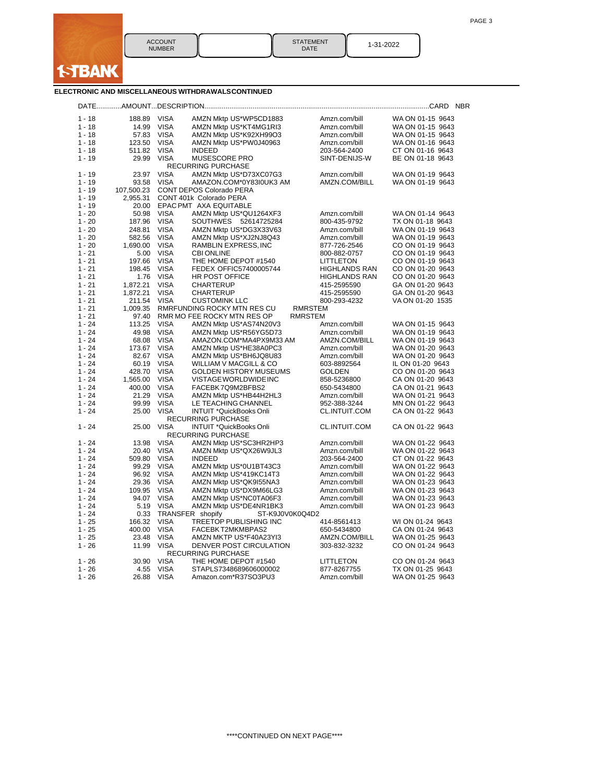

| <b>STATEMENT</b> |  |
|------------------|--|
| DATE             |  |

1-31-2022

### **ELECTRONIC AND MISCELLANEOUS WITHDRAWALSCONTINUED**

|                      |                |                            |                                                  |                                | <b>NBR</b>                           |
|----------------------|----------------|----------------------------|--------------------------------------------------|--------------------------------|--------------------------------------|
| $1 - 18$             | 188.89         | <b>VISA</b>                | AMZN Mktp US*WP5CD1883                           | Amzn.com/bill                  | WA ON 01-15 9643                     |
| $1 - 18$             | 14.99          | <b>VISA</b>                | AMZN Mktp US*KT4MG1RI3                           | Amzn.com/bill                  | WA ON 01-15 9643                     |
| $1 - 18$             | 57.83          | <b>VISA</b>                | AMZN Mktp US*K92XH99O3                           | Amzn.com/bill                  | WA ON 01-15 9643                     |
| $1 - 18$             | 123.50         | <b>VISA</b>                | AMZN Mktp US*PW0J40963                           | Amzn.com/bill                  | WA ON 01-16 9643                     |
| 1 - 18               | 511.82         | <b>VISA</b>                | <b>INDEED</b>                                    | 203-564-2400                   | CT ON 01-16 9643                     |
| $1 - 19$             | 29.99          | <b>VISA</b>                | MUSESCORE PRO                                    | SINT-DENIJS-W                  | BE ON 01-18 9643                     |
|                      |                |                            | <b>RECURRING PURCHASE</b>                        |                                |                                      |
| $1 - 19$             | 23.97          | <b>VISA</b>                | AMZN Mktp US*D73XC07G3                           | Amzn.com/bill                  | WA ON 01-19 9643                     |
| $1 - 19$             | 93.58          | <b>VISA</b>                | AMAZON.COM*0Y83I0UK3 AM                          | AMZN.COM/BILL                  | WA ON 01-19 9643                     |
| $1 - 19$             | 107,500.23     |                            | CONT DEPOS Colorado PERA                         |                                |                                      |
| $1 - 19$             | 2,955.31       |                            | CONT 401k Colorado PERA                          |                                |                                      |
| $1 - 19$             | 20.00          |                            | EPAC PMT AXA EQUITABLE                           |                                |                                      |
| $1 - 20$             | 50.98          | <b>VISA</b>                | AMZN Mktp US*QU1264XF3                           | Amzn.com/bill                  | WA ON 01-14 9643                     |
| $1 - 20$             | 187.96         | <b>VISA</b>                | SOUTHWES 52614725284                             | 800-435-9792                   | TX ON 01-18 9643                     |
| $1 - 20$             | 248.81         | <b>VISA</b>                | AMZN Mktp US*DG3X33V63                           | Amzn.com/bill                  | WA ON 01-19 9643                     |
| $1 - 20$             | 582.56         | <b>VISA</b>                | AMZN Mktp US*XJ2NJ8Q43                           | Amzn.com/bill                  | WA ON 01-19 9643                     |
| $1 - 20$             | 1,690.00       | <b>VISA</b>                | RAMBLIN EXPRESS, INC                             | 877-726-2546                   | CO ON 01-19 9643                     |
| $1 - 21$             | 5.00           | <b>VISA</b>                | <b>CBI ONLINE</b>                                | 800-882-0757                   | CO ON 01-19 9643                     |
| $1 - 21$             | 197.66         | <b>VISA</b>                | THE HOME DEPOT #1540                             | <b>LITTLETON</b>               | CO ON 01-19 9643                     |
| $1 - 21$             | 198.45         | <b>VISA</b>                | FEDEX OFFIC57400005744                           | <b>HIGHLANDS RAN</b>           | CO ON 01-20 9643                     |
| $1 - 21$             | 1.76           | <b>VISA</b>                | <b>HR POST OFFICE</b>                            | <b>HIGHLANDS RAN</b>           | CO ON 01-20 9643                     |
| $1 - 21$             | 1,872.21       | <b>VISA</b>                | CHARTERUP                                        | 415-2595590                    | GA ON 01-20 9643                     |
| $1 - 21$             | 1,872.21       | <b>VISA</b>                | <b>CHARTERUP</b>                                 | 415-2595590                    | GA ON 01-20 9643                     |
| $1 - 21$             | 211.54         | <b>VISA</b>                | <b>CUSTOMINK LLC</b>                             | 800-293-4232                   | VA ON 01-20 1535                     |
| $1 - 21$             | 1,009.35       |                            | RMRFUNDING ROCKY MTN RES CU                      | <b>RMRSTEM</b>                 |                                      |
| $1 - 21$             | 97.40          |                            | RMR MO FEE ROCKY MTN RES OP                      | <b>RMRSTEM</b>                 |                                      |
| $1 - 24$             | 113.25         | <b>VISA</b>                | AMZN Mktp US*AS74N20V3                           | Amzn.com/bill                  | WA ON 01-15 9643                     |
| $1 - 24$             | 49.98          | <b>VISA</b>                | AMZN Mktp US*R56YG5D73                           | Amzn.com/bill                  | WA ON 01-19 9643                     |
| $1 - 24$             | 68.08          | <b>VISA</b>                | AMAZON.COM*MA4PX9M33 AM                          | AMZN.COM/BILL                  | WA ON 01-19 9643                     |
| $1 - 24$             | 173.67         | <b>VISA</b>                | AMZN Mktp US*HE38A0PC3                           | Amzn.com/bill                  | WA ON 01-20 9643                     |
| $1 - 24$             | 82.67          | <b>VISA</b>                | AMZN Mktp US*BH6JQ8U83                           | Amzn.com/bill                  | WA ON 01-20 9643                     |
| $1 - 24$             | 60.19          | <b>VISA</b>                | WILLIAM V MACGILL & CO                           | 603-8892564                    | IL ON 01-20 9643                     |
| $1 - 24$             | 428.70         | <b>VISA</b>                | <b>GOLDEN HISTORY MUSEUMS</b>                    | <b>GOLDEN</b>                  | CO ON 01-20 9643                     |
| $1 - 24$             | 1,565.00       | <b>VISA</b>                | VISTAGE WORLDWIDE INC                            | 858-5236800                    | CA ON 01-20 9643                     |
| $1 - 24$             | 400.00         | <b>VISA</b>                | FACEBK7Q9M2BFBS2                                 | 650-5434800                    | CA ON 01-21 9643                     |
| $1 - 24$             | 21.29          | <b>VISA</b>                | AMZN Mktp US*HB44H2HL3                           | Amzn.com/bill                  | WA ON 01-21 9643                     |
| $1 - 24$             | 99.99          | <b>VISA</b>                | LE TEACHING CHANNEL                              | 952-388-3244                   | MN ON 01-22 9643                     |
| $1 - 24$             | 25.00          | <b>VISA</b>                | <b>INTUIT *QuickBooks Onli</b>                   | <b>CL.INTUIT.COM</b>           | CA ON 01-22 9643                     |
|                      |                |                            | <b>RECURRING PURCHASE</b>                        |                                |                                      |
| $1 - 24$             | 25.00          | <b>VISA</b>                | <b>INTUIT *QuickBooks Onli</b>                   | CL.INTUIT.COM                  | CA ON 01-22 9643                     |
|                      |                |                            | <b>RECURRING PURCHASE</b>                        |                                |                                      |
| $1 - 24$<br>$1 - 24$ | 13.98<br>20.40 | <b>VISA</b><br><b>VISA</b> | AMZN Mktp US*SC3HR2HP3<br>AMZN Mktp US*QX26W9JL3 | Amzn.com/bill<br>Amzn.com/bill | WA ON 01-22 9643<br>WA ON 01-22 9643 |
| $1 - 24$             | 509.80         | <b>VISA</b>                | <b>INDEED</b>                                    | 203-564-2400                   | CT ON 01-22 9643                     |
| $1 - 24$             | 99.29          | <b>VISA</b>                | AMZN Mktp US*0U1BT43C3                           |                                | WA ON 01-22 9643                     |
| $1 - 24$             | 96.92          | <b>VISA</b>                | AMZN Mktp US*419KC14T3                           | Amzn.com/bill<br>Amzn.com/bill | WA ON 01-22 9643                     |
| $1 - 24$             | 29.36          | <b>VISA</b>                | AMZN Mktp US*QK9I55NA3                           | Amzn.com/bill                  | WA ON 01-23 9643                     |
| $1 - 24$             | 109.95         | <b>VISA</b>                | AMZN Mktp US*DX9M66LG3                           | Amzn.com/bill                  | WA ON 01-23 9643                     |
| $1 - 24$             | 94.07          | <b>VISA</b>                | AMZN Mktp US*NC0TA06F3                           | Amzn.com/bill                  | WA ON 01-23 9643                     |
| $1 - 24$             | 5.19           | <b>VISA</b>                | AMZN Mktp US*DE4NR1BK3                           | Amzn.com/bill                  | WA ON 01-23 9643                     |
| $1 - 24$             | 0.33           |                            | TRANSFER shopify<br>ST-K9J0V0K0Q4D2              |                                |                                      |
| $1 - 25$             | 166.32         | <b>VISA</b>                | TREETOP PUBLISHING INC                           | 414-8561413                    | WI ON 01-24 9643                     |
| $1 - 25$             | 400.00         | <b>VISA</b>                | FACEBKT2MKMBPAS2                                 | 650-5434800                    | CA ON 01-24 9643                     |
| $1 - 25$             | 23.48          | <b>VISA</b>                | AMZN MKTP US*F40A23YI3                           | AMZN.COM/BILL                  | WA ON 01-25 9643                     |
| $1 - 26$             | 11.99          | <b>VISA</b>                | DENVER POST CIRCULATION                          | 303-832-3232                   | CO ON 01-24 9643                     |
|                      |                |                            | <b>RECURRING PURCHASE</b>                        |                                |                                      |
| $1 - 26$             | 30.90          | <b>VISA</b>                | THE HOME DEPOT #1540                             | LITTLETON                      | CO ON 01-24 9643                     |
| $1 - 26$             | 4.55           | <b>VISA</b>                | STAPLS7348689606000002                           | 877-8267755                    | TX ON 01-25 9643                     |
| $1 - 26$             | 26.88          | VISA                       | Amazon.com*R37SO3PU3                             | Amzn.com/bill                  | WA ON 01-25 9643                     |
|                      |                |                            |                                                  |                                |                                      |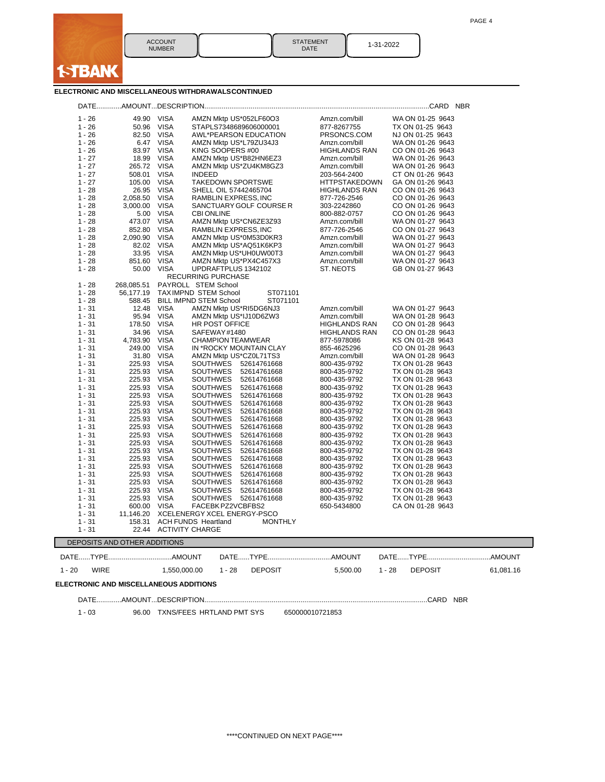

STATEMENT || 1-31-2022<br>DATE || 1-31-2022

### **ELECTRONIC AND MISCELLANEOUS WITHDRAWALSCONTINUED**

| $1 - 26$<br>$1 - 26$<br>$1 - 26$<br>$1 - 26$<br>$1 - 27$ | 50.96<br>82.50<br>6.47                 | VISA<br><b>VISA</b>    | AMZN Mktp US*052LF60O3<br>STAPLS7348689606000001<br>AWL*PEARSON EDUCATION | Amzn.com/bill<br>877-8267755 | TX ON 01-25 9643           |           |
|----------------------------------------------------------|----------------------------------------|------------------------|---------------------------------------------------------------------------|------------------------------|----------------------------|-----------|
|                                                          |                                        |                        |                                                                           |                              |                            |           |
|                                                          |                                        |                        |                                                                           | PRSONCS.COM                  | NJ ON 01-25 9643           |           |
|                                                          |                                        | <b>VISA</b>            | AMZN Mktp US*L79ZU34J3                                                    | Amzn.com/bill                | WA ON 01-26 9643           |           |
|                                                          | 83.97                                  | <b>VISA</b>            | KING SOOPERS #00                                                          | <b>HIGHLANDS RAN</b>         | CO ON 01-26 9643           |           |
|                                                          | 18.99                                  | <b>VISA</b>            | AMZN Mktp US*B82HN6EZ3                                                    | Amzn.com/bill                | WA ON 01-26 9643           |           |
| $1 - 27$                                                 | 265.72                                 | <b>VISA</b>            | AMZN Mktp US*ZU4KM8GZ3                                                    | Amzn.com/bill                | WA ON 01-26 9643           |           |
| $1 - 27$                                                 | 508.01                                 | <b>VISA</b>            | <b>INDEED</b>                                                             | 203-564-2400                 | CT ON 01-26 9643           |           |
| $1 - 27$                                                 | 105.00                                 | <b>VISA</b>            | <b>TAKEDOWN SPORTSWE</b>                                                  | <b>HTTPSTAKEDOWN</b>         | GA ON 01-26 9643           |           |
| $1 - 28$                                                 | 26.95                                  | <b>VISA</b>            | SHELL OIL 57442465704                                                     | <b>HIGHLANDS RAN</b>         | CO ON 01-26 9643           |           |
| $1 - 28$                                                 | 2,058.50                               | <b>VISA</b>            | RAMBLIN EXPRESS, INC                                                      | 877-726-2546                 | CO ON 01-26 9643           |           |
|                                                          |                                        |                        |                                                                           |                              |                            |           |
| $1 - 28$                                                 | 3,000.00                               | <b>VISA</b>            | SANCTUARY GOLF COURSE R                                                   | 303-2242860                  | CO ON 01-26 9643           |           |
| $1 - 28$                                                 | 5.00                                   | <b>VISA</b>            | <b>CBI ONLINE</b>                                                         | 800-882-0757                 | CO ON 01-26 9643           |           |
| $1 - 28$                                                 | 473.07                                 | <b>VISA</b>            | AMZN Mktp US*CN6ZE3Z93                                                    | Amzn.com/bill                | WA ON 01-27 9643           |           |
| $1 - 28$                                                 | 852.80                                 | <b>VISA</b>            | RAMBLIN EXPRESS, INC                                                      | 877-726-2546                 | CO ON 01-27 9643           |           |
| $1 - 28$                                                 | 2,090.90                               | <b>VISA</b>            | AMZN Mktp US*0M53D0KR3                                                    | Amzn.com/bill                | WA ON 01-27 9643           |           |
| $1 - 28$                                                 | 82.02                                  | <b>VISA</b>            | AMZN Mktp US*AQ51K6KP3                                                    | Amzn.com/bill                | WA ON 01-27 9643           |           |
| $1 - 28$                                                 | 33.95                                  | <b>VISA</b>            | AMZN Mktp US*UH0UW00T3                                                    | Amzn.com/bill                | WA ON 01-27 9643           |           |
| $1 - 28$                                                 | 851.60                                 | VISA                   | AMZN Mktp US*PX4C457X3                                                    | Amzn.com/bill                | WA ON 01-27 9643           |           |
| $1 - 28$                                                 | 50.00                                  | <b>VISA</b>            | UPDRAFTPLUS 1342102                                                       | ST. NEOTS                    | GB ON 01-27 9643           |           |
|                                                          |                                        |                        | <b>RECURRING PURCHASE</b>                                                 |                              |                            |           |
| $1 - 28$                                                 | 268,085.51                             |                        | PAYROLL STEM School                                                       |                              |                            |           |
| $1 - 28$                                                 | 56,177.19                              |                        | TAXIMPND STEM School<br>ST071101                                          |                              |                            |           |
| $1 - 28$                                                 | 588.45                                 |                        | <b>BILL IMPND STEM School</b><br>ST071101                                 |                              |                            |           |
| $1 - 31$                                                 | 12.48                                  | <b>VISA</b>            |                                                                           | Amzn.com/bill                | WA ON 01-27 9643           |           |
| $1 - 31$                                                 | 95.94 VISA                             |                        | AMZN Mktp US*RI5DG6NJ3                                                    | Amzn.com/bill                | WA ON 01-28 9643           |           |
|                                                          |                                        |                        | AMZN Mktp US*IJ10D6ZW3                                                    |                              |                            |           |
| $1 - 31$                                                 | 178.50                                 | <b>VISA</b>            | HR POST OFFICE                                                            | <b>HIGHLANDS RAN</b>         | CO ON 01-28 9643           |           |
| $1 - 31$                                                 | 34.96                                  | VISA                   | SAFEWAY#1480                                                              | <b>HIGHLANDS RAN</b>         | CO ON 01-28 9643           |           |
| $1 - 31$                                                 | 4,783.90                               | VISA                   | <b>CHAMPION TEAMWEAR</b>                                                  | 877-5978086                  | KS ON 01-28 9643           |           |
| $1 - 31$                                                 | 249.00                                 | <b>VISA</b>            | IN *ROCKY MOUNTAIN CLAY                                                   | 855-4625296                  | CO ON 01-28 9643           |           |
| $1 - 31$                                                 | 31.80                                  | <b>VISA</b>            | AMZN Mktp US*CZ0L71TS3                                                    | Amzn.com/bill                | WA ON 01-28 9643           |           |
| $1 - 31$                                                 | 225.93                                 | <b>VISA</b>            | SOUTHWES 52614761668                                                      | 800-435-9792                 | TX ON 01-28 9643           |           |
| $1 - 31$                                                 | 225.93                                 | VISA                   | SOUTHWES<br>52614761668                                                   | 800-435-9792                 | TX ON 01-28 9643           |           |
| $1 - 31$                                                 | 225.93                                 | <b>VISA</b>            | <b>SOUTHWES</b><br>52614761668                                            | 800-435-9792                 | TX ON 01-28 9643           |           |
| $1 - 31$                                                 | 225.93                                 | VISA                   | SOUTHWES<br>52614761668                                                   | 800-435-9792                 | TX ON 01-28 9643           |           |
| $1 - 31$                                                 | 225.93                                 | <b>VISA</b>            | <b>SOUTHWES</b><br>52614761668                                            | 800-435-9792                 | TX ON 01-28 9643           |           |
| $1 - 31$                                                 | 225.93                                 | VISA                   | <b>SOUTHWES</b><br>52614761668                                            | 800-435-9792                 | TX ON 01-28 9643           |           |
| $1 - 31$                                                 | 225.93                                 | <b>VISA</b>            | <b>SOUTHWES</b><br>52614761668                                            | 800-435-9792                 | TX ON 01-28 9643           |           |
|                                                          |                                        |                        |                                                                           |                              |                            |           |
| $1 - 31$                                                 | 225.93                                 | <b>VISA</b>            | <b>SOUTHWES</b><br>52614761668                                            | 800-435-9792                 | TX ON 01-28 9643           |           |
| $1 - 31$                                                 | 225.93                                 | VISA                   | SOUTHWES<br>52614761668                                                   | 800-435-9792                 | TX ON 01-28 9643           |           |
| $1 - 31$                                                 | 225.93                                 | <b>VISA</b>            | <b>SOUTHWES</b><br>52614761668                                            | 800-435-9792                 | TX ON 01-28 9643           |           |
| $1 - 31$                                                 | 225.93                                 | VISA                   | <b>SOUTHWES</b><br>52614761668                                            | 800-435-9792                 | TX ON 01-28 9643           |           |
| $1 - 31$                                                 | 225.93                                 | <b>VISA</b>            | <b>SOUTHWES</b><br>52614761668                                            | 800-435-9792                 | TX ON 01-28 9643           |           |
| $1 - 31$                                                 | 225.93                                 | VISA                   | <b>SOUTHWES</b><br>52614761668                                            | 800-435-9792                 | TX ON 01-28 9643           |           |
| $1 - 31$                                                 | 225.93                                 | <b>VISA</b>            | <b>SOUTHWES</b><br>52614761668                                            | 800-435-9792                 | TX ON 01-28 9643           |           |
| $1 - 31$                                                 | 225.93                                 | <b>VISA</b>            | <b>SOUTHWES</b><br>52614761668                                            | 800-435-9792                 | TX ON 01-28 9643           |           |
| $1 - 31$                                                 | 225.93                                 | VISA                   | SOUTHWES<br>52614761668                                                   | 800-435-9792                 | TX ON 01-28 9643           |           |
| $1 - 31$                                                 | 225.93                                 | <b>VISA</b>            | <b>SOUTHWES</b><br>52614761668                                            | 800-435-9792                 | TX ON 01-28 9643           |           |
|                                                          |                                        |                        |                                                                           |                              |                            |           |
| $1 - 31$                                                 | 225.93                                 | <b>VISA</b>            | <b>SOUTHWES</b><br>52614761668                                            | 800-435-9792                 | TX ON 01-28 9643           |           |
| $1 - 31$                                                 | 600.00                                 | <b>VISA</b>            | FACEBK PZ2VCBFBS2                                                         | 650-5434800                  | CA ON 01-28 9643           |           |
| $1 - 31$                                                 | 11,146.20                              |                        | XCELENERGY XCEL ENERGY-PSCO                                               |                              |                            |           |
| $1 - 31$                                                 | 158.31                                 |                        | <b>ACH FUNDS Heartland</b><br><b>MONTHLY</b>                              |                              |                            |           |
| $1 - 31$                                                 | 22.44                                  | <b>ACTIVITY CHARGE</b> |                                                                           |                              |                            |           |
|                                                          | DEPOSITS AND OTHER ADDITIONS           |                        |                                                                           |                              |                            |           |
|                                                          |                                        |                        |                                                                           |                              |                            |           |
| $1 - 20$<br><b>WIRE</b>                                  |                                        | 1,550,000.00           | $1 - 28$<br><b>DEPOSIT</b>                                                | 5,500.00                     | <b>DEPOSIT</b><br>$1 - 28$ | 61,081.16 |
|                                                          | ELECTRONIC AND MISCELLANEOUS ADDITIONS |                        |                                                                           |                              |                            |           |
|                                                          |                                        |                        |                                                                           |                              |                            |           |
|                                                          |                                        |                        |                                                                           |                              |                            |           |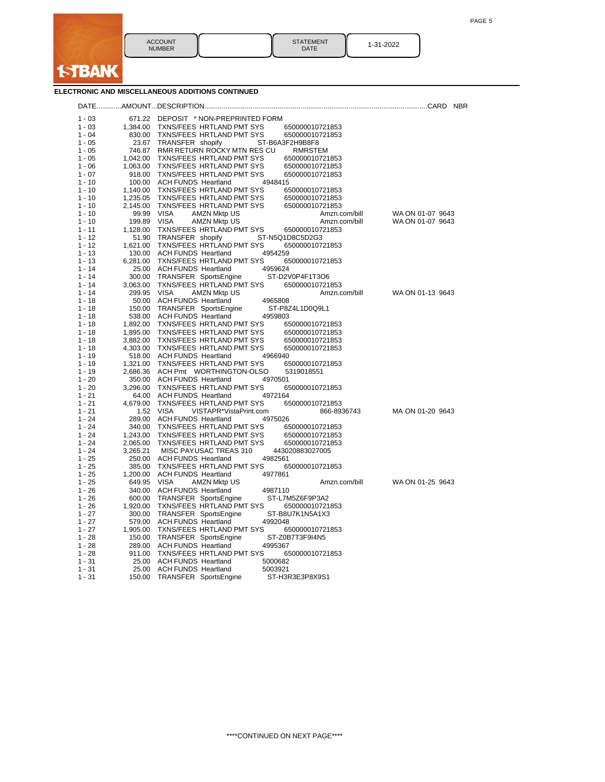| <b>ACCOUNT</b><br><b>NUMBER</b> | <b>STATEMENT</b><br><b>DATE</b> | 1-31-2022 |
|---------------------------------|---------------------------------|-----------|

**f-TBANK** 

**ELECTRONIC AND MISCELLANEOUS ADDITIONS CONTINUED**

|                      |             |                                                                                                | <b>NBR</b>                           |
|----------------------|-------------|------------------------------------------------------------------------------------------------|--------------------------------------|
| $1 - 03$             |             | 671.22 DEPOSIT * NON-PREPRINTED FORM                                                           |                                      |
| $1 - 03$             | 1,384.00    | TXNS/FEES HRTLAND PMT SYS<br>650000010721853                                                   |                                      |
| $1 - 04$             | 830.00      | TXNS/FEES HRTLAND PMT SYS<br>650000010721853                                                   |                                      |
| $1 - 05$             | 23.67       | TRANSFER shopify<br>ST-B6A3F2H9B8F8                                                            |                                      |
| $1 - 05$             |             | 746.87 RMR RETURN ROCKY MTN RES CU<br>RMRSTEM                                                  |                                      |
| $1 - 05$             |             | 1,042.00 TXNS/FEES HRTLAND PMT SYS<br>650000010721853                                          |                                      |
| $1 - 06$             |             | 1,063.00 TXNS/FEES HRTLAND PMT SYS<br>650000010721853                                          |                                      |
| $1 - 07$             |             | 918.00 TXNS/FEES HRTLAND PMT SYS<br>650000010721853                                            |                                      |
| $1 - 10$             |             | 100.00 ACH FUNDS Heartland<br>4948415                                                          |                                      |
| $1 - 10$             |             | 1,140.00 TXNS/FEES HRTLAND PMT SYS<br>650000010721853                                          |                                      |
| $1 - 10$             |             | 1,235.05 TXNS/FEES HRTLAND PMT SYS<br>650000010721853                                          |                                      |
| $1 - 10$             |             | 2,145.00 TXNS/FEES HRTLAND PMT SYS<br>650000010721853                                          |                                      |
| $1 - 10$<br>$1 - 10$ |             | 99.99 VISA<br><b>AMZN Mktp US</b><br>Amzn.com/bill<br>Amzn.com/bill                            | WA ON 01-07 9643<br>WA ON 01-07 9643 |
| $1 - 11$             | 199.89 VISA | <b>AMZN Mktp US</b><br>1,128.00 TXNS/FEES HRTLAND PMT SYS                                      |                                      |
| $1 - 12$             |             | 650000010721853<br>51.90 TRANSFER shopify<br>ST-N5Q1D8C5D2G3                                   |                                      |
| $1 - 12$             | 1,621.00    | TXNS/FEES HRTLAND PMT SYS<br>650000010721853                                                   |                                      |
| $1 - 13$             |             | 130.00 ACH FUNDS Heartland<br>4954259                                                          |                                      |
| $1 - 13$             |             | 6,281.00 TXNS/FEES HRTLAND PMT SYS<br>650000010721853                                          |                                      |
| $1 - 14$             |             | 25.00 ACH FUNDS Heartland<br>4959624                                                           |                                      |
| $1 - 14$             |             | 300.00 TRANSFER SportsEngine<br>ST-D2V0P4F1T3O6                                                |                                      |
| $1 - 14$             | 3,063.00    | TXNS/FEES HRTLAND PMT SYS<br>650000010721853                                                   |                                      |
| $1 - 14$             | 299.95 VISA | AMZN Mktp US<br>Amzn.com/bill                                                                  | WA ON 01-13 9643                     |
| $1 - 18$             |             | 50.00 ACH FUNDS Heartland<br>4965808                                                           |                                      |
| $1 - 18$             |             | 150.00 TRANSFER SportsEngine<br>ST-P8Z4L1D0Q9L1                                                |                                      |
| $1 - 18$             |             | 538.00 ACH FUNDS Heartland<br>4959803                                                          |                                      |
| $1 - 18$             |             | 1,892.00 TXNS/FEES HRTLAND PMT SYS<br>650000010721853                                          |                                      |
| $1 - 18$             |             | 1,895.00 TXNS/FEES HRTLAND PMT SYS<br>650000010721853                                          |                                      |
| $1 - 18$             |             | 3,882.00 TXNS/FEES HRTLAND PMT SYS<br>650000010721853                                          |                                      |
| $1 - 18$             |             | 4,303.00 TXNS/FEES HRTLAND PMT SYS<br>650000010721853                                          |                                      |
| $1 - 19$<br>$1 - 19$ |             | 518.00 ACH FUNDS Heartland<br>4966940<br>1,321.00 TXNS/FEES HRTLAND PMT SYS<br>650000010721853 |                                      |
| $1 - 19$             |             | 2,686.36 ACH Pmt WORTHINGTON-OLSO<br>5319018551                                                |                                      |
| $1 - 20$             |             | 350.00 ACH FUNDS Heartland<br>4970501                                                          |                                      |
| $1 - 20$             | 3,296.00    | TXNS/FEES HRTLAND PMT SYS<br>650000010721853                                                   |                                      |
| $1 - 21$             |             | 64.00 ACH FUNDS Heartland<br>4972164                                                           |                                      |
| $1 - 21$             |             | 4,679.00 TXNS/FEES HRTLAND PMT SYS<br>650000010721853                                          |                                      |
| $1 - 21$             |             | 1.52 VISA<br>VISTAPR*VistaPrint.com<br>866-8936743                                             | MA ON 01-20 9643                     |
| $1 - 24$             |             | 289.00 ACH FUNDS Heartland<br>4975026                                                          |                                      |
| $1 - 24$             |             | 340.00 TXNS/FEES HRTLAND PMT SYS<br>650000010721853                                            |                                      |
| $1 - 24$             |             | 1,243.00 TXNS/FEES HRTLAND PMT SYS<br>650000010721853                                          |                                      |
| $1 - 24$             |             | 2,065.00 TXNS/FEES HRTLAND PMT SYS<br>650000010721853                                          |                                      |
| $1 - 24$             | 3,265.21    | MISC PAYUSAC TREAS 310<br>443020883027005                                                      |                                      |
| $1 - 25$             |             | 250.00 ACH FUNDS Heartland<br>4982561                                                          |                                      |
| $1 - 25$             |             | 385.00 TXNS/FEES HRTLAND PMT SYS<br>650000010721853                                            |                                      |
| $1 - 25$             |             | 1,200.00 ACH FUNDS Heartland<br>4977861                                                        |                                      |
| $1 - 25$<br>$1 - 26$ | 649.95 VISA | <b>AMZN Mktp US</b><br>Amzn.com/bill<br>340.00 ACH FUNDS Heartland                             | WA ON 01-25 9643                     |
| $1 - 26$             |             | 4987110<br>600.00 TRANSFER SportsEngine<br>ST-L7M5Z6F9P3A2                                     |                                      |
| $1 - 26$             |             | 1,920.00 TXNS/FEES HRTLAND PMT SYS<br>650000010721853                                          |                                      |
| $1 - 27$             |             | 300.00 TRANSFER SportsEngine<br>ST-B8U7K1N5A1X3                                                |                                      |
| $1 - 27$             |             | 579.00 ACH FUNDS Heartland<br>4992048                                                          |                                      |
| $1 - 27$             | 1,905.00    | TXNS/FEES HRTLAND PMT SYS<br>650000010721853                                                   |                                      |
| $1 - 28$             |             | 150.00 TRANSFER SportsEngine<br>ST-Z0B7T3F9I4N5                                                |                                      |
| $1 - 28$             |             | 289.00 ACH FUNDS Heartland<br>4995367                                                          |                                      |
| $1 - 28$             |             | 911.00 TXNS/FEES HRTLAND PMT SYS<br>650000010721853                                            |                                      |
| $1 - 31$             |             | 25.00 ACH FUNDS Heartland<br>5000682                                                           |                                      |
| $1 - 31$             |             | 25.00 ACH FUNDS Heartland<br>5003921                                                           |                                      |
| 1 - 31               |             | 150.00 TRANSFER SportsEngine<br>ST-H3R3E3P8X9S1                                                |                                      |
|                      |             |                                                                                                |                                      |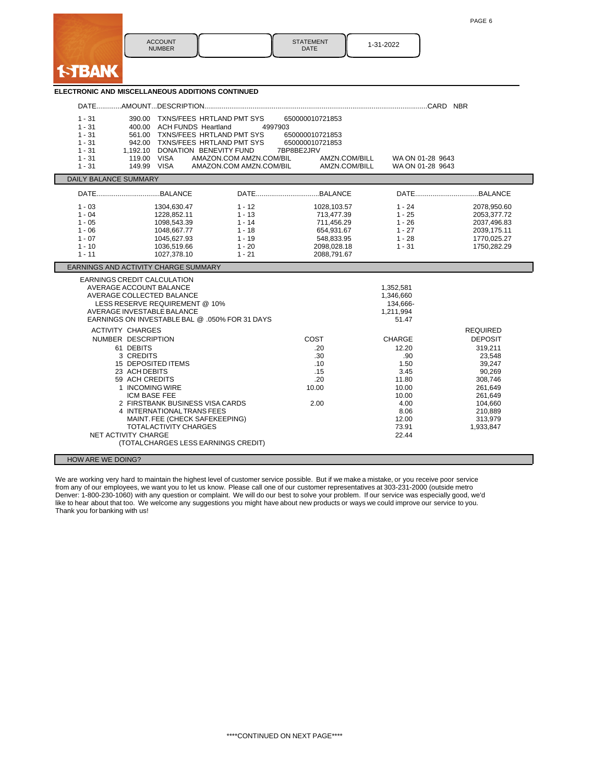| <b>ACCOUNT</b><br><b>NUMBER</b> | <b>STATEMENT</b><br><b>DATE</b> | 1-31-2022 |
|---------------------------------|---------------------------------|-----------|

**ISTBANK** 

| ELECTRONIC AND MISCELLANEOUS ADDITIONS CONTINUED                                                                                                                            |                                                                                                                                                                                              |                                                                                  |                                                                                                       |                                                                                                              |                                                                                                                                                           |  |  |  |
|-----------------------------------------------------------------------------------------------------------------------------------------------------------------------------|----------------------------------------------------------------------------------------------------------------------------------------------------------------------------------------------|----------------------------------------------------------------------------------|-------------------------------------------------------------------------------------------------------|--------------------------------------------------------------------------------------------------------------|-----------------------------------------------------------------------------------------------------------------------------------------------------------|--|--|--|
|                                                                                                                                                                             |                                                                                                                                                                                              |                                                                                  |                                                                                                       |                                                                                                              |                                                                                                                                                           |  |  |  |
| $1 - 31$<br>$1 - 31$<br>$1 - 31$<br>$1 - 31$<br>$1 - 31$<br>$1 - 31$<br>119.00 VISA<br>$1 - 31$<br>149.99 VISA                                                              | 390.00 TXNS/FEES HRTLAND PMT SYS<br>400.00 ACH FUNDS Heartland<br>561.00 TXNS/FEES HRTLAND PMT SYS<br>942.00 TXNS/FEES HRTLAND PMT SYS<br>1,192.10 DONATION BENEVITY FUND                    | 4997903<br>AMAZON.COM AMZN.COM/BIL<br>AMAZON.COM AMZN.COM/BIL                    | 650000010721853<br>650000010721853<br>650000010721853<br>7BP8BE2JRV<br>AMZN.COM/BILL<br>AMZN.COM/BILL | WA ON 01-28 9643<br>WA ON 01-28 9643                                                                         |                                                                                                                                                           |  |  |  |
| <b>DAILY BALANCE SUMMARY</b>                                                                                                                                                |                                                                                                                                                                                              |                                                                                  |                                                                                                       |                                                                                                              |                                                                                                                                                           |  |  |  |
|                                                                                                                                                                             |                                                                                                                                                                                              |                                                                                  |                                                                                                       |                                                                                                              |                                                                                                                                                           |  |  |  |
| $1 - 03$<br>$1 - 04$<br>$1 - 05$<br>$1 - 06$<br>$1 - 07$<br>$1 - 10$<br>$1 - 11$                                                                                            | 1304,630.47<br>1228,852.11<br>1098,543.39<br>1048,667.77<br>1045,627.93<br>1036,519.66<br>1027,378.10                                                                                        | $1 - 12$<br>$1 - 13$<br>$1 - 14$<br>$1 - 18$<br>$1 - 19$<br>$1 - 20$<br>$1 - 21$ | 1028,103.57<br>713,477.39<br>711,456.29<br>654,931.67<br>548,833.95<br>2098,028.18<br>2088,791.67     | $1 - 24$<br>$1 - 25$<br>$1 - 26$<br>$1 - 27$<br>$1 - 28$<br>$1 - 31$                                         | 2078,950.60<br>2053, 377. 72<br>2037,496.83<br>2039,175.11<br>1770,025.27<br>1750,282.29                                                                  |  |  |  |
| EARNINGS AND ACTIVITY CHARGE SUMMARY                                                                                                                                        |                                                                                                                                                                                              |                                                                                  |                                                                                                       |                                                                                                              |                                                                                                                                                           |  |  |  |
| EARNINGS CREDIT CALCULATION<br>AVERAGE ACCOUNT BALANCE<br>AVERAGE COLLECTED BALANCE<br>AVERAGE INVESTABLE BALANCE<br>EARNINGS ON INVESTABLE BAL @ .050% FOR 31 DAYS         | LESS RESERVE REQUIREMENT @ 10%                                                                                                                                                               |                                                                                  |                                                                                                       | 1,352,581<br>1,346,660<br>134.666-<br>1,211,994<br>51.47                                                     |                                                                                                                                                           |  |  |  |
| <b>ACTIVITY CHARGES</b><br>NUMBER DESCRIPTION<br>61 DEBITS<br>3 CREDITS<br>23 ACH DEBITS<br>59 ACH CREDITS<br>1 INCOMING WIRE<br><b>ICM BASE FEE</b><br>NET ACTIVITY CHARGE | 15 DEPOSITED ITEMS<br>2 FIRSTBANK BUSINESS VISA CARDS<br>4 INTERNATIONAL TRANS FEES<br>MAINT. FEE (CHECK SAFEKEEPING)<br><b>TOTALACTIVITY CHARGES</b><br>(TOTALCHARGES LESS EARNINGS CREDIT) |                                                                                  | COST<br>.20<br>.30<br>.10<br>.15<br>.20<br>10.00<br>2.00                                              | CHARGE<br>12.20<br>.90<br>1.50<br>3.45<br>11.80<br>10.00<br>10.00<br>4.00<br>8.06<br>12.00<br>73.91<br>22.44 | <b>REQUIRED</b><br><b>DEPOSIT</b><br>319,211<br>23,548<br>39,247<br>90,269<br>308,746<br>261,649<br>261,649<br>104,660<br>210,889<br>313,979<br>1,933,847 |  |  |  |
| HOW ARE WE DOING?                                                                                                                                                           |                                                                                                                                                                                              |                                                                                  |                                                                                                       |                                                                                                              |                                                                                                                                                           |  |  |  |

We are working very hard to maintain the highest level of customer service possible. But if we make a mistake, or you receive poor service from any of our employees, we want you to let us know. Please call one of our customer representatives at 303-231-2000 (outside metro Denver: 1-800-230-1060) with any question or complaint. We will do our best to solve your problem. If our service was especially good, we'd like to hear about that too. We welcome any suggestions you might have about new products or ways we could improve our service to you. Thank you for banking with us!